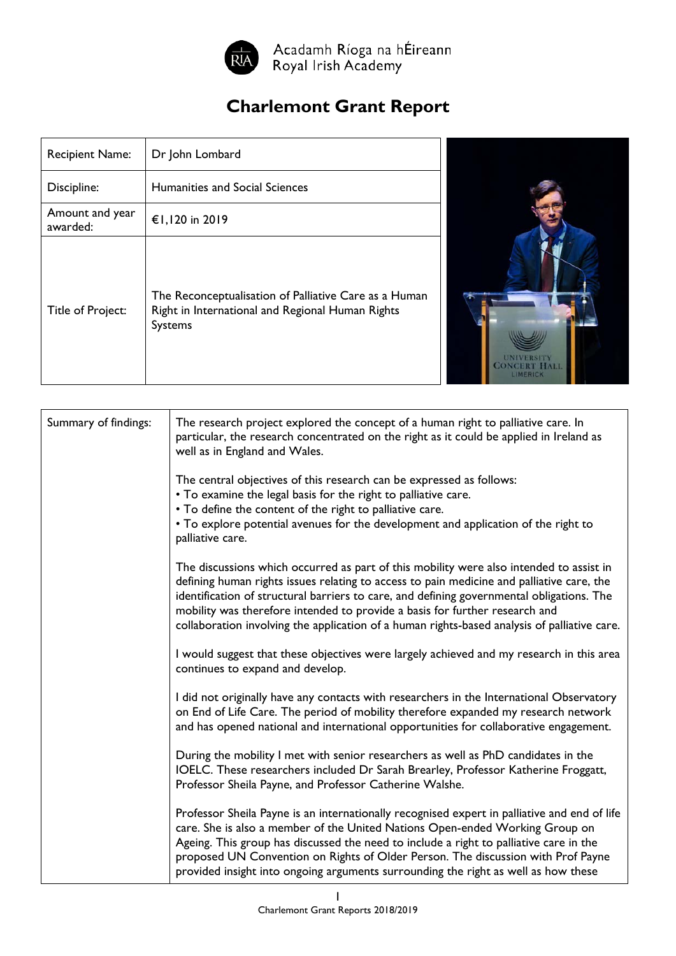

Acadamh Ríoga na hÉireann<br>Royal Irish Academy

## **Charlemont Grant Report**

| <b>Recipient Name:</b>      | Dr John Lombard                                                                                                             |
|-----------------------------|-----------------------------------------------------------------------------------------------------------------------------|
| Discipline:                 | Humanities and Social Sciences                                                                                              |
| Amount and year<br>awarded: | €1,120 in 2019                                                                                                              |
| Title of Project:           | The Reconceptualisation of Palliative Care as a Human<br>Right in International and Regional Human Rights<br><b>Systems</b> |



| Summary of findings: | The research project explored the concept of a human right to palliative care. In<br>particular, the research concentrated on the right as it could be applied in Ireland as<br>well as in England and Wales.                                                                                                                                                                                                                                                    |
|----------------------|------------------------------------------------------------------------------------------------------------------------------------------------------------------------------------------------------------------------------------------------------------------------------------------------------------------------------------------------------------------------------------------------------------------------------------------------------------------|
|                      | The central objectives of this research can be expressed as follows:<br>• To examine the legal basis for the right to palliative care.<br>• To define the content of the right to palliative care.<br>• To explore potential avenues for the development and application of the right to                                                                                                                                                                         |
|                      | palliative care.                                                                                                                                                                                                                                                                                                                                                                                                                                                 |
|                      | The discussions which occurred as part of this mobility were also intended to assist in<br>defining human rights issues relating to access to pain medicine and palliative care, the<br>identification of structural barriers to care, and defining governmental obligations. The<br>mobility was therefore intended to provide a basis for further research and<br>collaboration involving the application of a human rights-based analysis of palliative care. |
|                      | I would suggest that these objectives were largely achieved and my research in this area<br>continues to expand and develop.                                                                                                                                                                                                                                                                                                                                     |
|                      | I did not originally have any contacts with researchers in the International Observatory<br>on End of Life Care. The period of mobility therefore expanded my research network<br>and has opened national and international opportunities for collaborative engagement.                                                                                                                                                                                          |
|                      | During the mobility I met with senior researchers as well as PhD candidates in the<br>IOELC. These researchers included Dr Sarah Brearley, Professor Katherine Froggatt,<br>Professor Sheila Payne, and Professor Catherine Walshe.                                                                                                                                                                                                                              |
|                      | Professor Sheila Payne is an internationally recognised expert in palliative and end of life<br>care. She is also a member of the United Nations Open-ended Working Group on<br>Ageing. This group has discussed the need to include a right to palliative care in the<br>proposed UN Convention on Rights of Older Person. The discussion with Prof Payne<br>provided insight into ongoing arguments surrounding the right as well as how these                 |